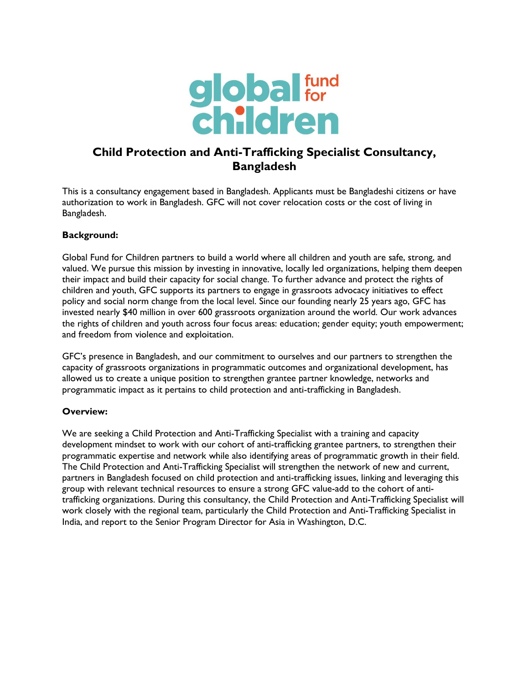

# **Child Protection and Anti-Trafficking Specialist Consultancy, Bangladesh**

This is a consultancy engagement based in Bangladesh. Applicants must be Bangladeshi citizens or have authorization to work in Bangladesh. GFC will not cover relocation costs or the cost of living in Bangladesh.

## **Background:**

Global Fund for Children partners to build a world where all children and youth are safe, strong, and valued. We pursue this mission by investing in innovative, locally led organizations, helping them deepen their impact and build their capacity for social change. To further advance and protect the rights of children and youth, GFC supports its partners to engage in grassroots advocacy initiatives to effect policy and social norm change from the local level. Since our founding nearly 25 years ago, GFC has invested nearly \$40 million in over 600 grassroots organization around the world. Our work advances the rights of children and youth across four focus areas: education; gender equity; youth empowerment; and freedom from violence and exploitation.

GFC's presence in Bangladesh, and our commitment to ourselves and our partners to strengthen the capacity of grassroots organizations in programmatic outcomes and organizational development, has allowed us to create a unique position to strengthen grantee partner knowledge, networks and programmatic impact as it pertains to child protection and anti-trafficking in Bangladesh.

## **Overview:**

We are seeking a Child Protection and Anti-Trafficking Specialist with a training and capacity development mindset to work with our cohort of anti-trafficking grantee partners, to strengthen their programmatic expertise and network while also identifying areas of programmatic growth in their field. The Child Protection and Anti-Trafficking Specialist will strengthen the network of new and current, partners in Bangladesh focused on child protection and anti-trafficking issues, linking and leveraging this group with relevant technical resources to ensure a strong GFC value-add to the cohort of antitrafficking organizations. During this consultancy, the Child Protection and Anti-Trafficking Specialist will work closely with the regional team, particularly the Child Protection and Anti-Trafficking Specialist in India, and report to the Senior Program Director for Asia in Washington, D.C.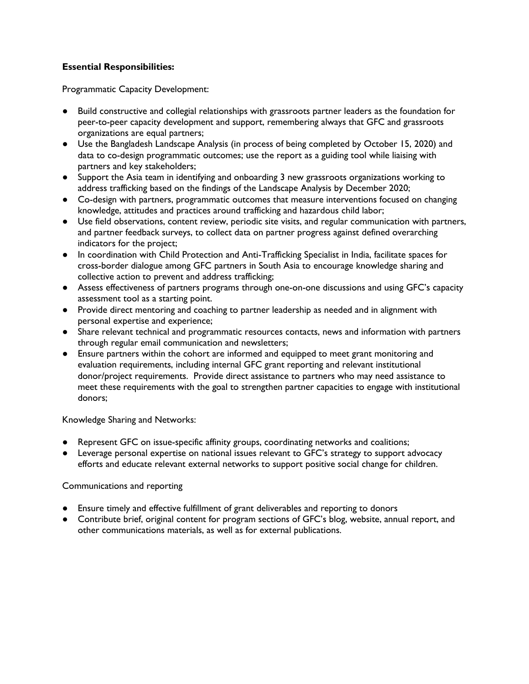# **Essential Responsibilities:**

Programmatic Capacity Development:

- Build constructive and collegial relationships with grassroots partner leaders as the foundation for peer-to-peer capacity development and support, remembering always that GFC and grassroots organizations are equal partners;
- Use the Bangladesh Landscape Analysis (in process of being completed by October 15, 2020) and data to co-design programmatic outcomes; use the report as a guiding tool while liaising with partners and key stakeholders;
- Support the Asia team in identifying and onboarding 3 new grassroots organizations working to address trafficking based on the findings of the Landscape Analysis by December 2020;
- Co-design with partners, programmatic outcomes that measure interventions focused on changing knowledge, attitudes and practices around trafficking and hazardous child labor;
- Use field observations, content review, periodic site visits, and regular communication with partners, and partner feedback surveys, to collect data on partner progress against defined overarching indicators for the project;
- In coordination with Child Protection and Anti-Trafficking Specialist in India, facilitate spaces for cross-border dialogue among GFC partners in South Asia to encourage knowledge sharing and collective action to prevent and address trafficking;
- Assess effectiveness of partners programs through one-on-one discussions and using GFC's capacity assessment tool as a starting point.
- Provide direct mentoring and coaching to partner leadership as needed and in alignment with personal expertise and experience;
- Share relevant technical and programmatic resources contacts, news and information with partners through regular email communication and newsletters;
- Ensure partners within the cohort are informed and equipped to meet grant monitoring and evaluation requirements, including internal GFC grant reporting and relevant institutional donor/project requirements. Provide direct assistance to partners who may need assistance to meet these requirements with the goal to strengthen partner capacities to engage with institutional donors;

Knowledge Sharing and Networks:

- Represent GFC on issue-specific affinity groups, coordinating networks and coalitions;
- Leverage personal expertise on national issues relevant to GFC's strategy to support advocacy efforts and educate relevant external networks to support positive social change for children.

Communications and reporting

- Ensure timely and effective fulfillment of grant deliverables and reporting to donors
- Contribute brief, original content for program sections of GFC's blog, website, annual report, and other communications materials, as well as for external publications.